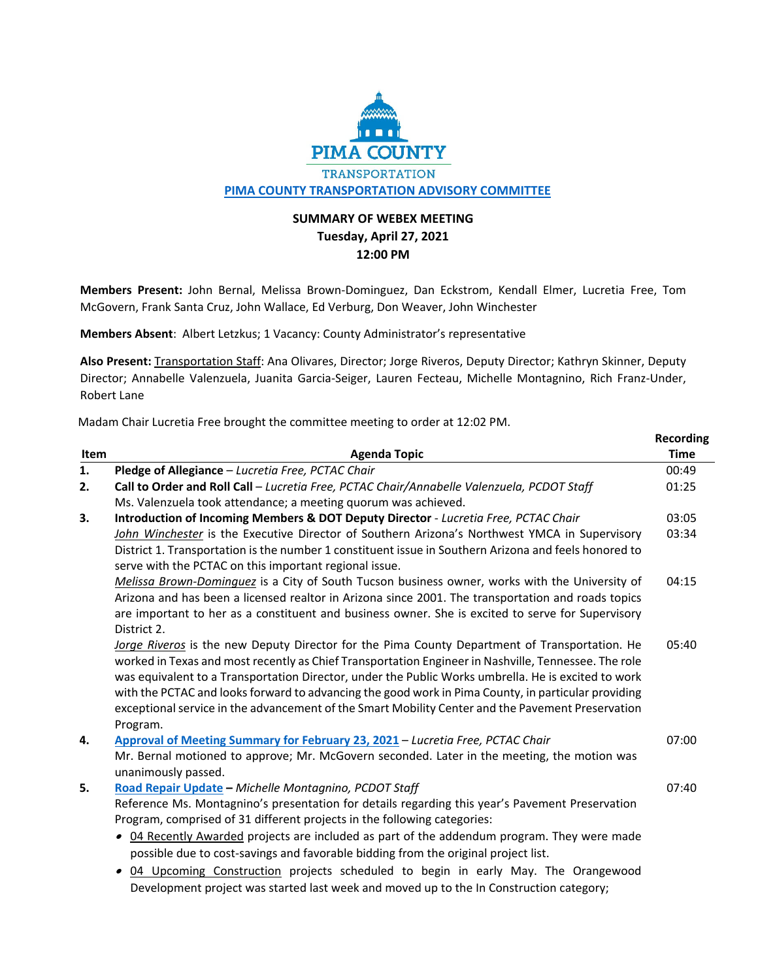

## **SUMMARY OF WEBEX MEETING Tuesday, April 27, 2021 12:00 PM**

**Members Present:** John Bernal, Melissa Brown‐Dominguez, Dan Eckstrom, Kendall Elmer, Lucretia Free, Tom McGovern, Frank Santa Cruz, John Wallace, Ed Verburg, Don Weaver, John Winchester

**Members Absent**: Albert Letzkus; 1 Vacancy: County Administrator's representative

**Also Present:** Transportation Staff: Ana Olivares, Director; Jorge Riveros, Deputy Director; Kathryn Skinner, Deputy Director; Annabelle Valenzuela, Juanita Garcia‐Seiger, Lauren Fecteau, Michelle Montagnino, Rich Franz‐Under, Robert Lane

**Recording**

Madam Chair Lucretia Free brought the committee meeting to order at 12:02 PM.

| Item | <b>Agenda Topic</b>                                                                                   | <b>Time</b> |
|------|-------------------------------------------------------------------------------------------------------|-------------|
| 1.   | Pledge of Allegiance - Lucretia Free, PCTAC Chair                                                     | 00:49       |
| 2.   | Call to Order and Roll Call - Lucretia Free, PCTAC Chair/Annabelle Valenzuela, PCDOT Staff            | 01:25       |
|      | Ms. Valenzuela took attendance; a meeting quorum was achieved.                                        |             |
| 3.   | Introduction of Incoming Members & DOT Deputy Director - Lucretia Free, PCTAC Chair                   | 03:05       |
|      | John Winchester is the Executive Director of Southern Arizona's Northwest YMCA in Supervisory         | 03:34       |
|      | District 1. Transportation is the number 1 constituent issue in Southern Arizona and feels honored to |             |
|      | serve with the PCTAC on this important regional issue.                                                |             |
|      | Melissa Brown-Dominguez is a City of South Tucson business owner, works with the University of        | 04:15       |
|      | Arizona and has been a licensed realtor in Arizona since 2001. The transportation and roads topics    |             |
|      | are important to her as a constituent and business owner. She is excited to serve for Supervisory     |             |
|      | District 2.                                                                                           |             |
|      | Jorge Riveros is the new Deputy Director for the Pima County Department of Transportation. He         | 05:40       |
|      | worked in Texas and most recently as Chief Transportation Engineer in Nashville, Tennessee. The role  |             |
|      | was equivalent to a Transportation Director, under the Public Works umbrella. He is excited to work   |             |
|      | with the PCTAC and looks forward to advancing the good work in Pima County, in particular providing   |             |
|      | exceptional service in the advancement of the Smart Mobility Center and the Pavement Preservation     |             |
|      | Program.                                                                                              |             |
| 4.   | Approval of Meeting Summary for February 23, 2021 - Lucretia Free, PCTAC Chair                        | 07:00       |
|      | Mr. Bernal motioned to approve; Mr. McGovern seconded. Later in the meeting, the motion was           |             |
|      | unanimously passed.                                                                                   |             |
| 5.   | Road Repair Update - Michelle Montagnino, PCDOT Staff                                                 | 07:40       |
|      | Reference Ms. Montagnino's presentation for details regarding this year's Pavement Preservation       |             |
|      | Program, comprised of 31 different projects in the following categories:                              |             |
|      | • 04 Recently Awarded projects are included as part of the addendum program. They were made           |             |
|      | possible due to cost-savings and favorable bidding from the original project list.                    |             |
|      | 04 Upcoming Construction projects scheduled to begin in early May. The Orangewood<br>$\bullet$        |             |
|      | Development project was started last week and moved up to the In Construction category;               |             |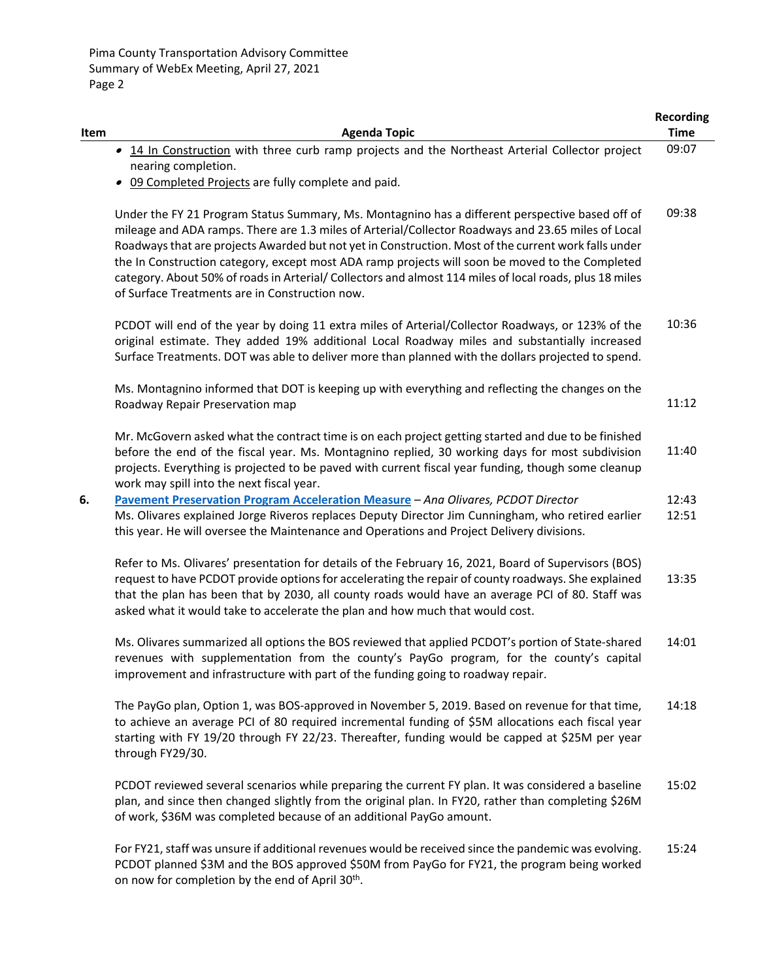|      |                                                                                                                                                                                                                                                                                                                                                                                                                                                                                                                                                                               | <b>Recording</b> |
|------|-------------------------------------------------------------------------------------------------------------------------------------------------------------------------------------------------------------------------------------------------------------------------------------------------------------------------------------------------------------------------------------------------------------------------------------------------------------------------------------------------------------------------------------------------------------------------------|------------------|
| Item | <b>Agenda Topic</b>                                                                                                                                                                                                                                                                                                                                                                                                                                                                                                                                                           | <b>Time</b>      |
|      | • 14 In Construction with three curb ramp projects and the Northeast Arterial Collector project                                                                                                                                                                                                                                                                                                                                                                                                                                                                               | 09:07            |
|      | nearing completion.                                                                                                                                                                                                                                                                                                                                                                                                                                                                                                                                                           |                  |
|      | 09 Completed Projects are fully complete and paid.                                                                                                                                                                                                                                                                                                                                                                                                                                                                                                                            |                  |
|      | Under the FY 21 Program Status Summary, Ms. Montagnino has a different perspective based off of<br>mileage and ADA ramps. There are 1.3 miles of Arterial/Collector Roadways and 23.65 miles of Local<br>Roadways that are projects Awarded but not yet in Construction. Most of the current work falls under<br>the In Construction category, except most ADA ramp projects will soon be moved to the Completed<br>category. About 50% of roads in Arterial/ Collectors and almost 114 miles of local roads, plus 18 miles<br>of Surface Treatments are in Construction now. | 09:38            |
|      | PCDOT will end of the year by doing 11 extra miles of Arterial/Collector Roadways, or 123% of the<br>original estimate. They added 19% additional Local Roadway miles and substantially increased<br>Surface Treatments. DOT was able to deliver more than planned with the dollars projected to spend.                                                                                                                                                                                                                                                                       | 10:36            |
|      | Ms. Montagnino informed that DOT is keeping up with everything and reflecting the changes on the<br>Roadway Repair Preservation map                                                                                                                                                                                                                                                                                                                                                                                                                                           | 11:12            |
|      | Mr. McGovern asked what the contract time is on each project getting started and due to be finished<br>before the end of the fiscal year. Ms. Montagnino replied, 30 working days for most subdivision<br>projects. Everything is projected to be paved with current fiscal year funding, though some cleanup<br>work may spill into the next fiscal year.                                                                                                                                                                                                                    | 11:40            |
| 6.   | Pavement Preservation Program Acceleration Measure - Ana Olivares, PCDOT Director                                                                                                                                                                                                                                                                                                                                                                                                                                                                                             | 12:43            |
|      | Ms. Olivares explained Jorge Riveros replaces Deputy Director Jim Cunningham, who retired earlier<br>this year. He will oversee the Maintenance and Operations and Project Delivery divisions.                                                                                                                                                                                                                                                                                                                                                                                | 12:51            |
|      | Refer to Ms. Olivares' presentation for details of the February 16, 2021, Board of Supervisors (BOS)<br>request to have PCDOT provide options for accelerating the repair of county roadways. She explained<br>that the plan has been that by 2030, all county roads would have an average PCI of 80. Staff was<br>asked what it would take to accelerate the plan and how much that would cost.                                                                                                                                                                              | 13:35            |
|      | Ms. Olivares summarized all options the BOS reviewed that applied PCDOT's portion of State-shared<br>revenues with supplementation from the county's PayGo program, for the county's capital<br>improvement and infrastructure with part of the funding going to roadway repair.                                                                                                                                                                                                                                                                                              | 14:01            |
|      | The PayGo plan, Option 1, was BOS-approved in November 5, 2019. Based on revenue for that time,<br>to achieve an average PCI of 80 required incremental funding of \$5M allocations each fiscal year<br>starting with FY 19/20 through FY 22/23. Thereafter, funding would be capped at \$25M per year<br>through FY29/30.                                                                                                                                                                                                                                                    | 14:18            |
|      | PCDOT reviewed several scenarios while preparing the current FY plan. It was considered a baseline<br>plan, and since then changed slightly from the original plan. In FY20, rather than completing \$26M<br>of work, \$36M was completed because of an additional PayGo amount.                                                                                                                                                                                                                                                                                              | 15:02            |
|      | For FY21, staff was unsure if additional revenues would be received since the pandemic was evolving.<br>PCDOT planned \$3M and the BOS approved \$50M from PayGo for FY21, the program being worked<br>on now for completion by the end of April 30 <sup>th</sup> .                                                                                                                                                                                                                                                                                                           | 15:24            |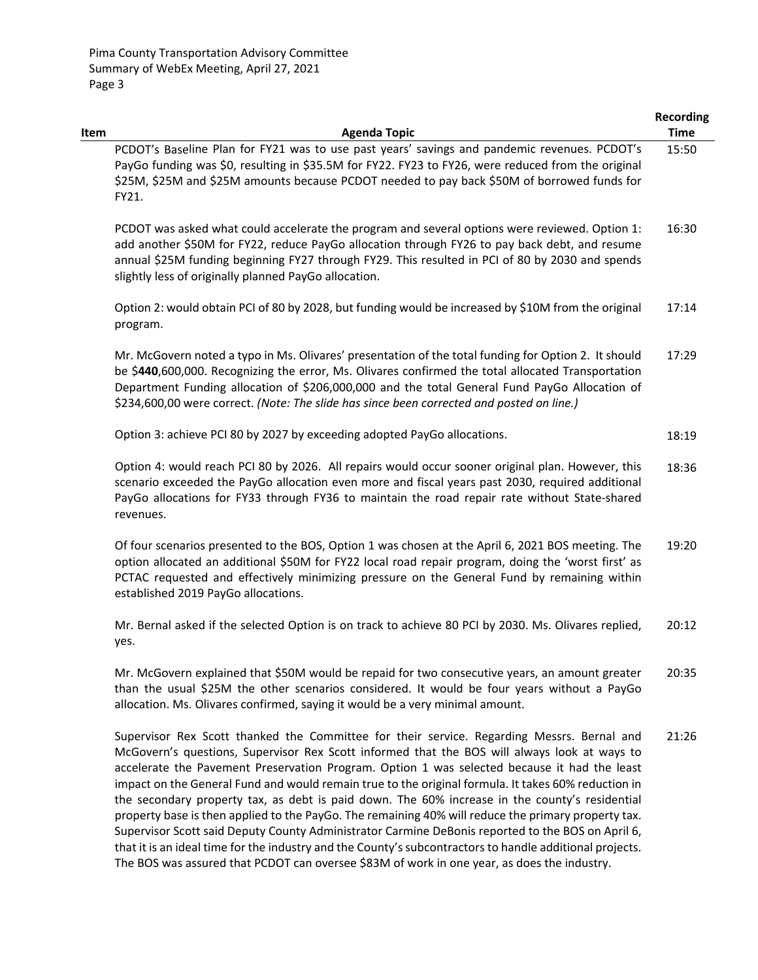|      |                                                                                                                                                                                                                                                                                                                                                                                                          | <b>Recording</b> |
|------|----------------------------------------------------------------------------------------------------------------------------------------------------------------------------------------------------------------------------------------------------------------------------------------------------------------------------------------------------------------------------------------------------------|------------------|
| Item | <b>Agenda Topic</b>                                                                                                                                                                                                                                                                                                                                                                                      | <b>Time</b>      |
|      | PCDOT's Baseline Plan for FY21 was to use past years' savings and pandemic revenues. PCDOT's<br>PayGo funding was \$0, resulting in \$35.5M for FY22. FY23 to FY26, were reduced from the original<br>\$25M, \$25M and \$25M amounts because PCDOT needed to pay back \$50M of borrowed funds for                                                                                                        | 15:50            |
|      | FY21.                                                                                                                                                                                                                                                                                                                                                                                                    |                  |
|      | PCDOT was asked what could accelerate the program and several options were reviewed. Option 1:<br>add another \$50M for FY22, reduce PayGo allocation through FY26 to pay back debt, and resume<br>annual \$25M funding beginning FY27 through FY29. This resulted in PCI of 80 by 2030 and spends<br>slightly less of originally planned PayGo allocation.                                              | 16:30            |
|      | Option 2: would obtain PCI of 80 by 2028, but funding would be increased by \$10M from the original<br>program.                                                                                                                                                                                                                                                                                          | 17:14            |
|      | Mr. McGovern noted a typo in Ms. Olivares' presentation of the total funding for Option 2. It should<br>be \$440,600,000. Recognizing the error, Ms. Olivares confirmed the total allocated Transportation<br>Department Funding allocation of \$206,000,000 and the total General Fund PayGo Allocation of<br>\$234,600,00 were correct. (Note: The slide has since been corrected and posted on line.) | 17:29            |
|      | Option 3: achieve PCI 80 by 2027 by exceeding adopted PayGo allocations.                                                                                                                                                                                                                                                                                                                                 | 18:19            |
|      | Option 4: would reach PCI 80 by 2026. All repairs would occur sooner original plan. However, this<br>scenario exceeded the PayGo allocation even more and fiscal years past 2030, required additional<br>PayGo allocations for FY33 through FY36 to maintain the road repair rate without State-shared<br>revenues.                                                                                      | 18:36            |
|      | Of four scenarios presented to the BOS, Option 1 was chosen at the April 6, 2021 BOS meeting. The<br>option allocated an additional \$50M for FY22 local road repair program, doing the 'worst first' as<br>PCTAC requested and effectively minimizing pressure on the General Fund by remaining within<br>established 2019 PayGo allocations.                                                           | 19:20            |
|      | Mr. Bernal asked if the selected Option is on track to achieve 80 PCI by 2030. Ms. Olivares replied,<br>yes.                                                                                                                                                                                                                                                                                             | 20:12            |
|      | Mr. McGovern explained that \$50M would be repaid for two consecutive years, an amount greater<br>than the usual \$25M the other scenarios considered. It would be four years without a PayGo<br>allocation. Ms. Olivares confirmed, saying it would be a very minimal amount.                                                                                                                           | 20:35            |
|      | Supervisor Rex Scott thanked the Committee for their service. Regarding Messrs. Bernal and<br>McGovern's questions, Supervisor Rex Scott informed that the BOS will always look at ways to<br>accelerate the Pavement Preservation Program. Option 1 was selected because it had the least                                                                                                               | 21:26            |

impact on the General Fund and would remain true to the original formula. It takes 60% reduction in the secondary property tax, as debt is paid down. The 60% increase in the county's residential property base is then applied to the PayGo. The remaining 40% will reduce the primary property tax. Supervisor Scott said Deputy County Administrator Carmine DeBonis reported to the BOS on April 6, that it is an ideal time for the industry and the County's subcontractors to handle additional projects. The BOS was assured that PCDOT can oversee \$83M of work in one year, as does the industry.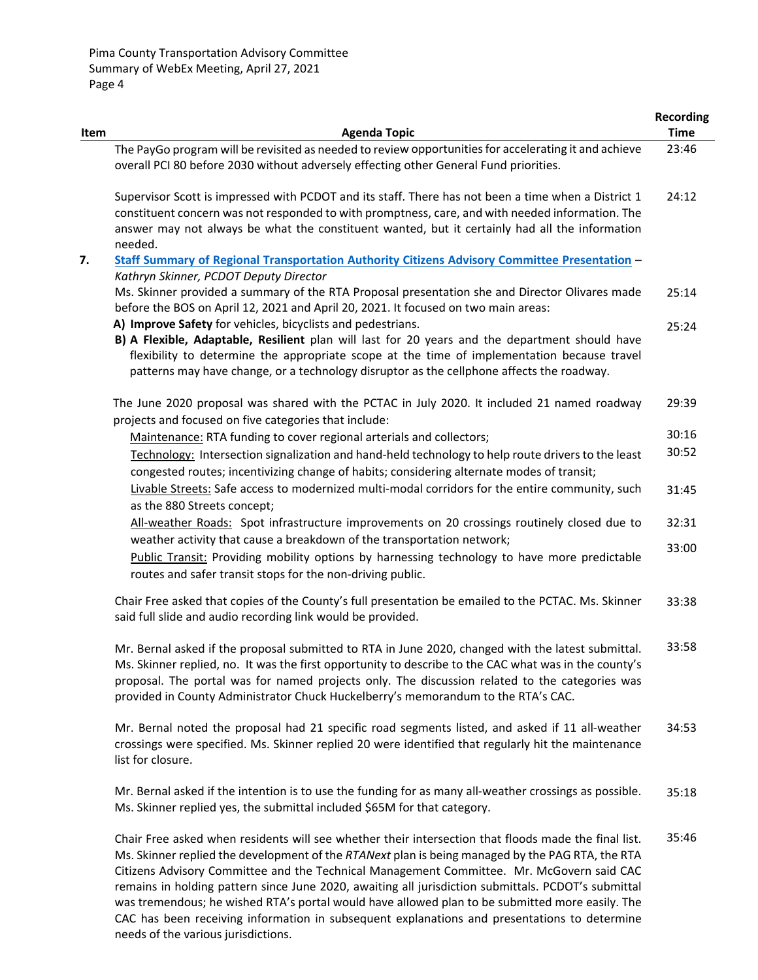|      |                                                                                                                                                                                                                                                                                                                                                                                                    | <b>Recording</b> |
|------|----------------------------------------------------------------------------------------------------------------------------------------------------------------------------------------------------------------------------------------------------------------------------------------------------------------------------------------------------------------------------------------------------|------------------|
| Item | <b>Agenda Topic</b>                                                                                                                                                                                                                                                                                                                                                                                | <b>Time</b>      |
|      | The PayGo program will be revisited as needed to review opportunities for accelerating it and achieve<br>overall PCI 80 before 2030 without adversely effecting other General Fund priorities.                                                                                                                                                                                                     | 23:46            |
|      | Supervisor Scott is impressed with PCDOT and its staff. There has not been a time when a District 1<br>constituent concern was not responded to with promptness, care, and with needed information. The<br>answer may not always be what the constituent wanted, but it certainly had all the information<br>needed.                                                                               | 24:12            |
| 7.   | Staff Summary of Regional Transportation Authority Citizens Advisory Committee Presentation -                                                                                                                                                                                                                                                                                                      |                  |
|      | Kathryn Skinner, PCDOT Deputy Director<br>Ms. Skinner provided a summary of the RTA Proposal presentation she and Director Olivares made<br>before the BOS on April 12, 2021 and April 20, 2021. It focused on two main areas:                                                                                                                                                                     | 25:14            |
|      | A) Improve Safety for vehicles, bicyclists and pedestrians.<br>B) A Flexible, Adaptable, Resilient plan will last for 20 years and the department should have<br>flexibility to determine the appropriate scope at the time of implementation because travel<br>patterns may have change, or a technology disruptor as the cellphone affects the roadway.                                          | 25:24            |
|      | The June 2020 proposal was shared with the PCTAC in July 2020. It included 21 named roadway<br>projects and focused on five categories that include:                                                                                                                                                                                                                                               | 29:39            |
|      | Maintenance: RTA funding to cover regional arterials and collectors;                                                                                                                                                                                                                                                                                                                               | 30:16            |
|      | Technology: Intersection signalization and hand-held technology to help route drivers to the least<br>congested routes; incentivizing change of habits; considering alternate modes of transit;                                                                                                                                                                                                    | 30:52            |
|      | Livable Streets: Safe access to modernized multi-modal corridors for the entire community, such<br>as the 880 Streets concept;                                                                                                                                                                                                                                                                     | 31:45            |
|      | All-weather Roads: Spot infrastructure improvements on 20 crossings routinely closed due to<br>weather activity that cause a breakdown of the transportation network;                                                                                                                                                                                                                              | 32:31            |
|      | Public Transit: Providing mobility options by harnessing technology to have more predictable<br>routes and safer transit stops for the non-driving public.                                                                                                                                                                                                                                         | 33:00            |
|      | Chair Free asked that copies of the County's full presentation be emailed to the PCTAC. Ms. Skinner<br>said full slide and audio recording link would be provided.                                                                                                                                                                                                                                 | 33:38            |
|      | Mr. Bernal asked if the proposal submitted to RTA in June 2020, changed with the latest submittal.<br>Ms. Skinner replied, no. It was the first opportunity to describe to the CAC what was in the county's<br>proposal. The portal was for named projects only. The discussion related to the categories was<br>provided in County Administrator Chuck Huckelberry's memorandum to the RTA's CAC. | 33:58            |
|      | Mr. Bernal noted the proposal had 21 specific road segments listed, and asked if 11 all-weather<br>crossings were specified. Ms. Skinner replied 20 were identified that regularly hit the maintenance<br>list for closure.                                                                                                                                                                        | 34:53            |
|      | Mr. Bernal asked if the intention is to use the funding for as many all-weather crossings as possible.<br>Ms. Skinner replied yes, the submittal included \$65M for that category.                                                                                                                                                                                                                 | 35:18            |

Chair Free asked when residents will see whether their intersection that floods made the final list. Ms. Skinner replied the development of the *RTANext* plan is being managed by the PAG RTA, the RTA Citizens Advisory Committee and the Technical Management Committee. Mr. McGovern said CAC remains in holding pattern since June 2020, awaiting all jurisdiction submittals. PCDOT's submittal was tremendous; he wished RTA's portal would have allowed plan to be submitted more easily. The CAC has been receiving information in subsequent explanations and presentations to determine needs of the various jurisdictions. 35:46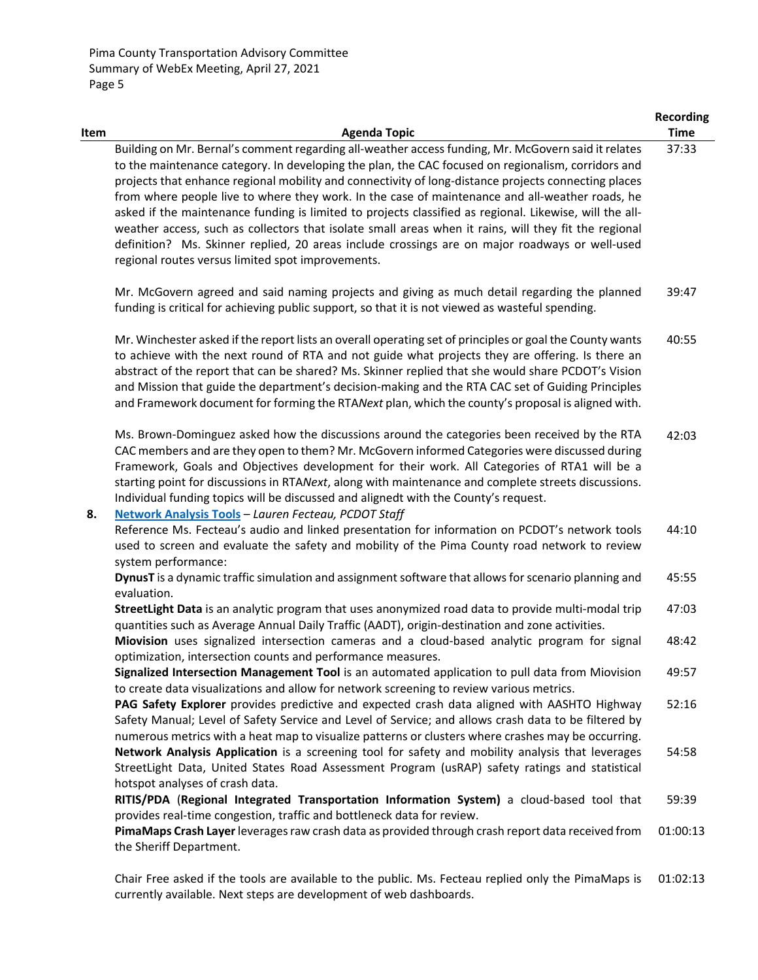|      |                                                                                                                                                                                                                                                                                                                                                                                                                                                                                                                                                                                                                                                                                                                                                                                                 | <b>Recording</b> |
|------|-------------------------------------------------------------------------------------------------------------------------------------------------------------------------------------------------------------------------------------------------------------------------------------------------------------------------------------------------------------------------------------------------------------------------------------------------------------------------------------------------------------------------------------------------------------------------------------------------------------------------------------------------------------------------------------------------------------------------------------------------------------------------------------------------|------------------|
| Item | <b>Agenda Topic</b>                                                                                                                                                                                                                                                                                                                                                                                                                                                                                                                                                                                                                                                                                                                                                                             | <b>Time</b>      |
|      | Building on Mr. Bernal's comment regarding all-weather access funding, Mr. McGovern said it relates<br>to the maintenance category. In developing the plan, the CAC focused on regionalism, corridors and<br>projects that enhance regional mobility and connectivity of long-distance projects connecting places<br>from where people live to where they work. In the case of maintenance and all-weather roads, he<br>asked if the maintenance funding is limited to projects classified as regional. Likewise, will the all-<br>weather access, such as collectors that isolate small areas when it rains, will they fit the regional<br>definition? Ms. Skinner replied, 20 areas include crossings are on major roadways or well-used<br>regional routes versus limited spot improvements. | 37:33            |
|      | Mr. McGovern agreed and said naming projects and giving as much detail regarding the planned<br>funding is critical for achieving public support, so that it is not viewed as wasteful spending.                                                                                                                                                                                                                                                                                                                                                                                                                                                                                                                                                                                                | 39:47            |
|      | Mr. Winchester asked if the report lists an overall operating set of principles or goal the County wants<br>to achieve with the next round of RTA and not guide what projects they are offering. Is there an<br>abstract of the report that can be shared? Ms. Skinner replied that she would share PCDOT's Vision<br>and Mission that guide the department's decision-making and the RTA CAC set of Guiding Principles<br>and Framework document for forming the RTANext plan, which the county's proposal is aligned with.                                                                                                                                                                                                                                                                    | 40:55            |
| 8.   | Ms. Brown-Dominguez asked how the discussions around the categories been received by the RTA<br>CAC members and are they open to them? Mr. McGovern informed Categories were discussed during<br>Framework, Goals and Objectives development for their work. All Categories of RTA1 will be a<br>starting point for discussions in RTANext, along with maintenance and complete streets discussions.<br>Individual funding topics will be discussed and alignedt with the County's request.<br>Network Analysis Tools - Lauren Fecteau, PCDOT Staff                                                                                                                                                                                                                                             | 42:03            |
|      | Reference Ms. Fecteau's audio and linked presentation for information on PCDOT's network tools<br>used to screen and evaluate the safety and mobility of the Pima County road network to review<br>system performance:                                                                                                                                                                                                                                                                                                                                                                                                                                                                                                                                                                          | 44:10            |
|      | DynusT is a dynamic traffic simulation and assignment software that allows for scenario planning and<br>evaluation.                                                                                                                                                                                                                                                                                                                                                                                                                                                                                                                                                                                                                                                                             | 45:55            |
|      | StreetLight Data is an analytic program that uses anonymized road data to provide multi-modal trip<br>quantities such as Average Annual Daily Traffic (AADT), origin-destination and zone activities.                                                                                                                                                                                                                                                                                                                                                                                                                                                                                                                                                                                           | 47:03            |
|      | Miovision uses signalized intersection cameras and a cloud-based analytic program for signal<br>optimization, intersection counts and performance measures.                                                                                                                                                                                                                                                                                                                                                                                                                                                                                                                                                                                                                                     | 48:42            |
|      | Signalized Intersection Management Tool is an automated application to pull data from Miovision<br>to create data visualizations and allow for network screening to review various metrics.                                                                                                                                                                                                                                                                                                                                                                                                                                                                                                                                                                                                     | 49:57            |
|      | PAG Safety Explorer provides predictive and expected crash data aligned with AASHTO Highway<br>Safety Manual; Level of Safety Service and Level of Service; and allows crash data to be filtered by<br>numerous metrics with a heat map to visualize patterns or clusters where crashes may be occurring.                                                                                                                                                                                                                                                                                                                                                                                                                                                                                       | 52:16            |
|      | Network Analysis Application is a screening tool for safety and mobility analysis that leverages<br>StreetLight Data, United States Road Assessment Program (usRAP) safety ratings and statistical<br>hotspot analyses of crash data.                                                                                                                                                                                                                                                                                                                                                                                                                                                                                                                                                           | 54:58            |
|      | RITIS/PDA (Regional Integrated Transportation Information System) a cloud-based tool that<br>provides real-time congestion, traffic and bottleneck data for review.                                                                                                                                                                                                                                                                                                                                                                                                                                                                                                                                                                                                                             | 59:39            |
|      | PimaMaps Crash Layer leverages raw crash data as provided through crash report data received from<br>the Sheriff Department.                                                                                                                                                                                                                                                                                                                                                                                                                                                                                                                                                                                                                                                                    | 01:00:13         |
|      | Chair Free asked if the tools are available to the public. Ms. Fecteau replied only the PimaMaps is<br>currently available. Next steps are development of web dashboards.                                                                                                                                                                                                                                                                                                                                                                                                                                                                                                                                                                                                                       | 01:02:13         |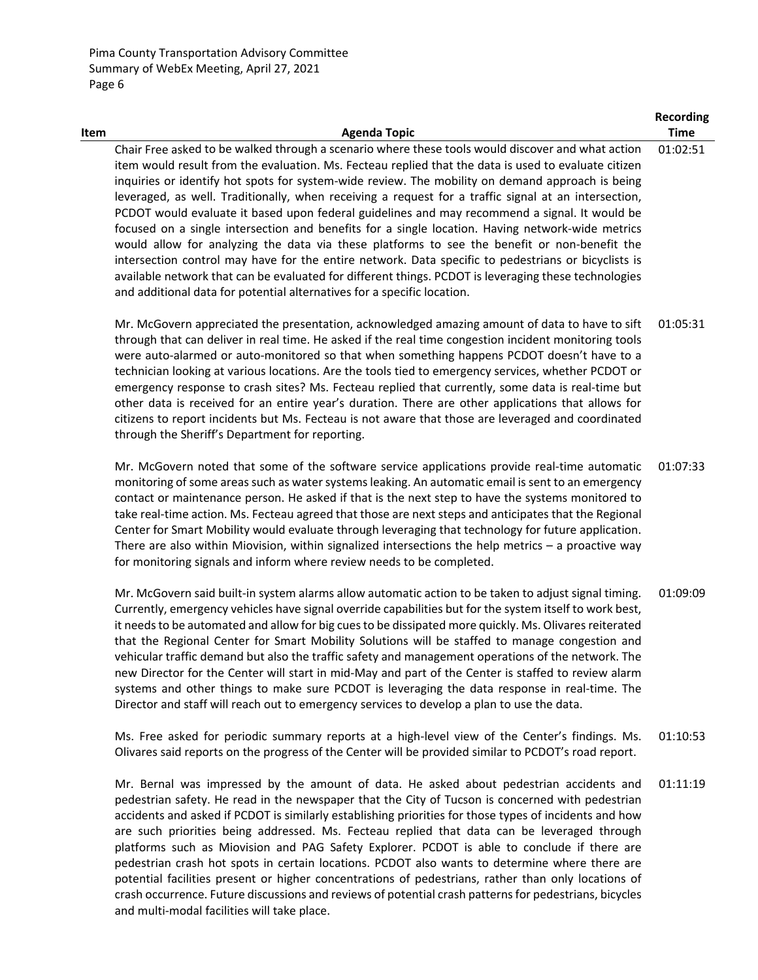| <b>Item</b> | <b>Agenda Topic</b>                                                                                                                                                                                                                                                                                                                                                                                                                                                                                                                                                                                                                                                                                                                                                                                                                                                                                                                                                                                                  | <b>Time</b> |
|-------------|----------------------------------------------------------------------------------------------------------------------------------------------------------------------------------------------------------------------------------------------------------------------------------------------------------------------------------------------------------------------------------------------------------------------------------------------------------------------------------------------------------------------------------------------------------------------------------------------------------------------------------------------------------------------------------------------------------------------------------------------------------------------------------------------------------------------------------------------------------------------------------------------------------------------------------------------------------------------------------------------------------------------|-------------|
|             | Chair Free asked to be walked through a scenario where these tools would discover and what action<br>item would result from the evaluation. Ms. Fecteau replied that the data is used to evaluate citizen<br>inquiries or identify hot spots for system-wide review. The mobility on demand approach is being<br>leveraged, as well. Traditionally, when receiving a request for a traffic signal at an intersection,<br>PCDOT would evaluate it based upon federal guidelines and may recommend a signal. It would be<br>focused on a single intersection and benefits for a single location. Having network-wide metrics<br>would allow for analyzing the data via these platforms to see the benefit or non-benefit the<br>intersection control may have for the entire network. Data specific to pedestrians or bicyclists is<br>available network that can be evaluated for different things. PCDOT is leveraging these technologies<br>and additional data for potential alternatives for a specific location. | 01:02:51    |
|             | Mr. McGovern appreciated the presentation, acknowledged amazing amount of data to have to sift<br>الماجعة والمتحافظ والمستحاد والمتحدث والمتحدث والمتحدث والمتكا المساحي والمتحدث والمتحدث والمتحدث والمستحدث والمستحدثان                                                                                                                                                                                                                                                                                                                                                                                                                                                                                                                                                                                                                                                                                                                                                                                            | 01:05:31    |

**Recording**

through that can deliver in real time. He asked if the real time congestion incident monitoring tools were auto-alarmed or auto-monitored so that when something happens PCDOT doesn't have to a technician looking at various locations. Are the tools tied to emergency services, whether PCDOT or emergency response to crash sites? Ms. Fecteau replied that currently, some data is real-time but other data is received for an entire year's duration. There are other applications that allows for citizens to report incidents but Ms. Fecteau is not aware that those are leveraged and coordinated through the Sheriff's Department for reporting.

Mr. McGovern noted that some of the software service applications provide real‐time automatic monitoring of some areas such as water systems leaking. An automatic email is sent to an emergency contact or maintenance person. He asked if that is the next step to have the systems monitored to take real‐time action. Ms. Fecteau agreed that those are next steps and anticipates that the Regional Center for Smart Mobility would evaluate through leveraging that technology for future application. There are also within Miovision, within signalized intersections the help metrics – a proactive way for monitoring signals and inform where review needs to be completed. 01:07:33

Mr. McGovern said built-in system alarms allow automatic action to be taken to adjust signal timing. Currently, emergency vehicles have signal override capabilities but for the system itself to work best, it needs to be automated and allow for big cues to be dissipated more quickly. Ms. Olivares reiterated that the Regional Center for Smart Mobility Solutions will be staffed to manage congestion and vehicular traffic demand but also the traffic safety and management operations of the network. The new Director for the Center will start in mid‐May and part of the Center is staffed to review alarm systems and other things to make sure PCDOT is leveraging the data response in real-time. The Director and staff will reach out to emergency services to develop a plan to use the data. 01:09:09

Ms. Free asked for periodic summary reports at a high‐level view of the Center's findings. Ms. Olivares said reports on the progress of the Center will be provided similar to PCDOT's road report. 01:10:53

Mr. Bernal was impressed by the amount of data. He asked about pedestrian accidents and pedestrian safety. He read in the newspaper that the City of Tucson is concerned with pedestrian accidents and asked if PCDOT is similarly establishing priorities for those types of incidents and how are such priorities being addressed. Ms. Fecteau replied that data can be leveraged through platforms such as Miovision and PAG Safety Explorer. PCDOT is able to conclude if there are pedestrian crash hot spots in certain locations. PCDOT also wants to determine where there are potential facilities present or higher concentrations of pedestrians, rather than only locations of crash occurrence. Future discussions and reviews of potential crash patternsfor pedestrians, bicycles and multi‐modal facilities will take place. 01:11:19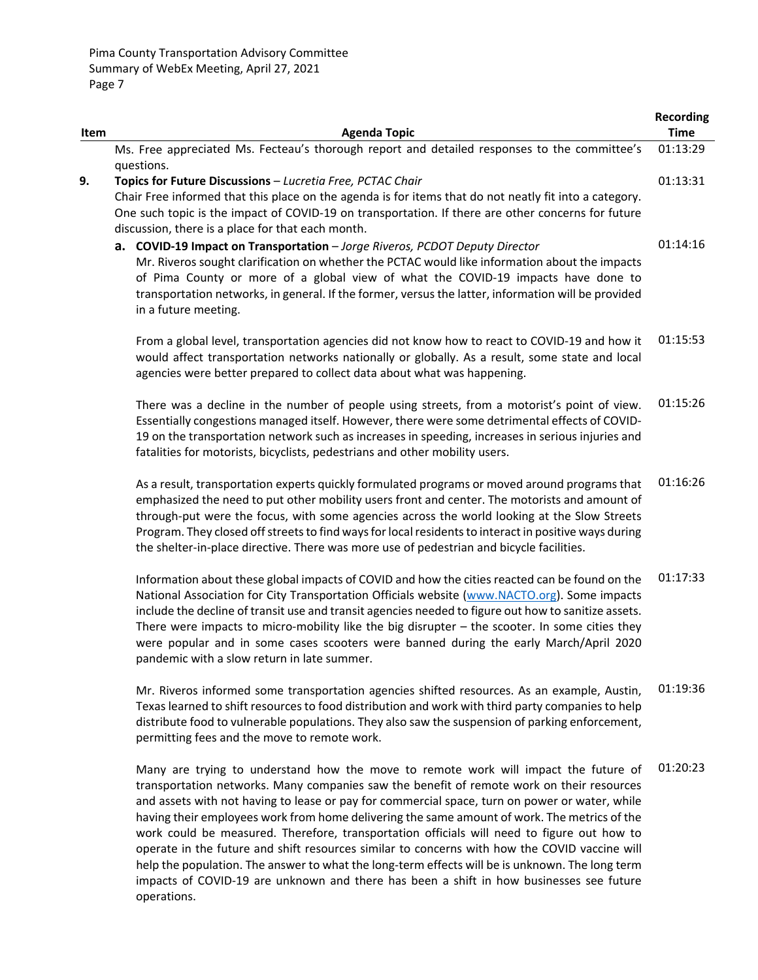|      |                                                                                                            | <b>Recording</b> |
|------|------------------------------------------------------------------------------------------------------------|------------------|
| Item | <b>Agenda Topic</b>                                                                                        | <b>Time</b>      |
|      | Ms. Free appreciated Ms. Fecteau's thorough report and detailed responses to the committee's<br>questions. | 01:13:29         |
| 9.   | Topics for Future Discussions - Lucretia Free, PCTAC Chair                                                 | 01:13:31         |
|      | Chair Free informed that this place on the agenda is for items that do not neatly fit into a category.     |                  |
|      | One such topic is the impact of COVID-19 on transportation. If there are other concerns for future         |                  |
|      | discussion, there is a place for that each month.                                                          |                  |
|      | a. COVID-19 Impact on Transportation - Jorge Riveros, PCDOT Deputy Director                                | 01:14:16         |
|      | Mr. Riveros sought clarification on whether the PCTAC would like information about the impacts             |                  |
|      | of Pima County or more of a global view of what the COVID-19 impacts have done to                          |                  |
|      | transportation networks, in general. If the former, versus the latter, information will be provided        |                  |
|      | in a future meeting.                                                                                       |                  |
|      |                                                                                                            |                  |
|      | From a global level, transportation agencies did not know how to react to COVID-19 and how it              | 01:15:53         |
|      | would affect transportation networks nationally or globally. As a result, some state and local             |                  |
|      | agencies were better prepared to collect data about what was happening.                                    |                  |
|      |                                                                                                            |                  |
|      | There was a decline in the number of people using streets, from a motorist's point of view.                | 01:15:26         |
|      | Essentially congestions managed itself. However, there were some detrimental effects of COVID-             |                  |
|      | 19 on the transportation network such as increases in speeding, increases in serious injuries and          |                  |
|      | fatalities for motorists, bicyclists, pedestrians and other mobility users.                                |                  |
|      | As a result, transportation experts quickly formulated programs or moved around programs that              | 01:16:26         |
|      | emphasized the need to put other mobility users front and center. The motorists and amount of              |                  |
|      | through-put were the focus, with some agencies across the world looking at the Slow Streets                |                  |
|      | Program. They closed off streets to find ways for local residents to interact in positive ways during      |                  |
|      | the shelter-in-place directive. There was more use of pedestrian and bicycle facilities.                   |                  |
|      |                                                                                                            |                  |
|      | Information about these global impacts of COVID and how the cities reacted can be found on the             | 01:17:33         |
|      | National Association for City Transportation Officials website (www.NACTO.org). Some impacts               |                  |
|      | include the decline of transit use and transit agencies needed to figure out how to sanitize assets.       |                  |
|      | There were impacts to micro-mobility like the big disrupter - the scooter. In some cities they             |                  |
|      | were popular and in some cases scooters were banned during the early March/April 2020                      |                  |
|      | pandemic with a slow return in late summer.                                                                |                  |
|      | Mr. Riveros informed some transportation agencies shifted resources. As an example, Austin,                | 01:19:36         |
|      | Texas learned to shift resources to food distribution and work with third party companies to help          |                  |
|      | distribute food to vulnerable populations. They also saw the suspension of parking enforcement,            |                  |
|      | permitting fees and the move to remote work.                                                               |                  |
|      |                                                                                                            |                  |
|      | Many are trying to understand how the move to remote work will impact the future of                        | 01:20:23         |
|      | transportation networks. Many companies saw the benefit of remote work on their resources                  |                  |
|      | and assets with not having to lease or pay for commercial space, turn on power or water, while             |                  |
|      | having their employees work from home delivering the same amount of work. The metrics of the               |                  |
|      | work could be measured. Therefore, transportation officials will need to figure out how to                 |                  |

operate in the future and shift resources similar to concerns with how the COVID vaccine will help the population. The answer to what the long-term effects will be is unknown. The long term impacts of COVID‐19 are unknown and there has been a shift in how businesses see future operations.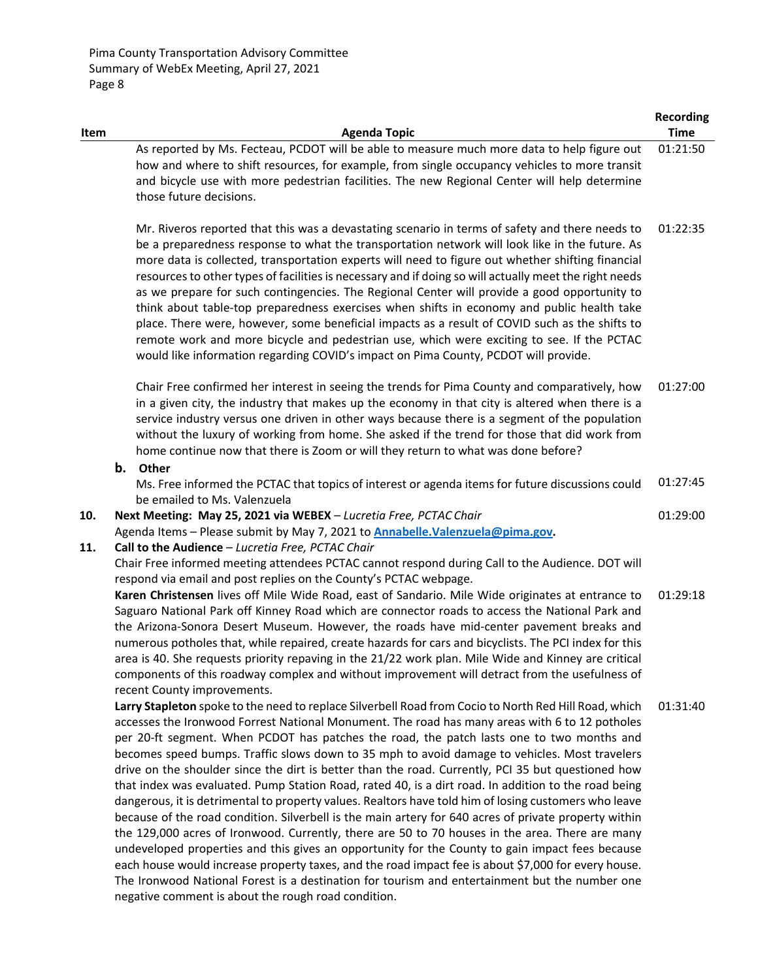|            |                                                                                                                                                                                                                                                                                                                                                                                                                                                                                                                                                                                                                                                                                                                                                                                                                                                                                                                                                                                                                                                                                                                                                                                                                                                                                                             | <b>Recording</b> |
|------------|-------------------------------------------------------------------------------------------------------------------------------------------------------------------------------------------------------------------------------------------------------------------------------------------------------------------------------------------------------------------------------------------------------------------------------------------------------------------------------------------------------------------------------------------------------------------------------------------------------------------------------------------------------------------------------------------------------------------------------------------------------------------------------------------------------------------------------------------------------------------------------------------------------------------------------------------------------------------------------------------------------------------------------------------------------------------------------------------------------------------------------------------------------------------------------------------------------------------------------------------------------------------------------------------------------------|------------------|
| Item       | <b>Agenda Topic</b>                                                                                                                                                                                                                                                                                                                                                                                                                                                                                                                                                                                                                                                                                                                                                                                                                                                                                                                                                                                                                                                                                                                                                                                                                                                                                         | <b>Time</b>      |
|            | As reported by Ms. Fecteau, PCDOT will be able to measure much more data to help figure out<br>how and where to shift resources, for example, from single occupancy vehicles to more transit<br>and bicycle use with more pedestrian facilities. The new Regional Center will help determine<br>those future decisions.                                                                                                                                                                                                                                                                                                                                                                                                                                                                                                                                                                                                                                                                                                                                                                                                                                                                                                                                                                                     | 01:21:50         |
|            | Mr. Riveros reported that this was a devastating scenario in terms of safety and there needs to<br>be a preparedness response to what the transportation network will look like in the future. As<br>more data is collected, transportation experts will need to figure out whether shifting financial<br>resources to other types of facilities is necessary and if doing so will actually meet the right needs<br>as we prepare for such contingencies. The Regional Center will provide a good opportunity to<br>think about table-top preparedness exercises when shifts in economy and public health take<br>place. There were, however, some beneficial impacts as a result of COVID such as the shifts to<br>remote work and more bicycle and pedestrian use, which were exciting to see. If the PCTAC<br>would like information regarding COVID's impact on Pima County, PCDOT will provide.                                                                                                                                                                                                                                                                                                                                                                                                        | 01:22:35         |
|            | Chair Free confirmed her interest in seeing the trends for Pima County and comparatively, how<br>in a given city, the industry that makes up the economy in that city is altered when there is a<br>service industry versus one driven in other ways because there is a segment of the population<br>without the luxury of working from home. She asked if the trend for those that did work from<br>home continue now that there is Zoom or will they return to what was done before?                                                                                                                                                                                                                                                                                                                                                                                                                                                                                                                                                                                                                                                                                                                                                                                                                      | 01:27:00         |
|            | b. Other<br>Ms. Free informed the PCTAC that topics of interest or agenda items for future discussions could<br>be emailed to Ms. Valenzuela                                                                                                                                                                                                                                                                                                                                                                                                                                                                                                                                                                                                                                                                                                                                                                                                                                                                                                                                                                                                                                                                                                                                                                | 01:27:45         |
| 10.<br>11. | Next Meeting: May 25, 2021 via WEBEX - Lucretia Free, PCTAC Chair<br>Agenda Items - Please submit by May 7, 2021 to <b>Annabelle. Valenzuela@pima.gov.</b><br>Call to the Audience - Lucretia Free, PCTAC Chair<br>Chair Free informed meeting attendees PCTAC cannot respond during Call to the Audience. DOT will<br>respond via email and post replies on the County's PCTAC webpage.                                                                                                                                                                                                                                                                                                                                                                                                                                                                                                                                                                                                                                                                                                                                                                                                                                                                                                                    | 01:29:00         |
|            | Karen Christensen lives off Mile Wide Road, east of Sandario. Mile Wide originates at entrance to<br>Saguaro National Park off Kinney Road which are connector roads to access the National Park and<br>the Arizona-Sonora Desert Museum. However, the roads have mid-center pavement breaks and<br>numerous potholes that, while repaired, create hazards for cars and bicyclists. The PCI index for this<br>area is 40. She requests priority repaving in the 21/22 work plan. Mile Wide and Kinney are critical<br>components of this roadway complex and without improvement will detract from the usefulness of<br>recent County improvements.                                                                                                                                                                                                                                                                                                                                                                                                                                                                                                                                                                                                                                                         | 01:29:18         |
|            | Larry Stapleton spoke to the need to replace Silverbell Road from Cocio to North Red Hill Road, which<br>accesses the Ironwood Forrest National Monument. The road has many areas with 6 to 12 potholes<br>per 20-ft segment. When PCDOT has patches the road, the patch lasts one to two months and<br>becomes speed bumps. Traffic slows down to 35 mph to avoid damage to vehicles. Most travelers<br>drive on the shoulder since the dirt is better than the road. Currently, PCI 35 but questioned how<br>that index was evaluated. Pump Station Road, rated 40, is a dirt road. In addition to the road being<br>dangerous, it is detrimental to property values. Realtors have told him of losing customers who leave<br>because of the road condition. Silverbell is the main artery for 640 acres of private property within<br>the 129,000 acres of Ironwood. Currently, there are 50 to 70 houses in the area. There are many<br>undeveloped properties and this gives an opportunity for the County to gain impact fees because<br>each house would increase property taxes, and the road impact fee is about \$7,000 for every house.<br>The Ironwood National Forest is a destination for tourism and entertainment but the number one<br>negative comment is about the rough road condition. | 01:31:40         |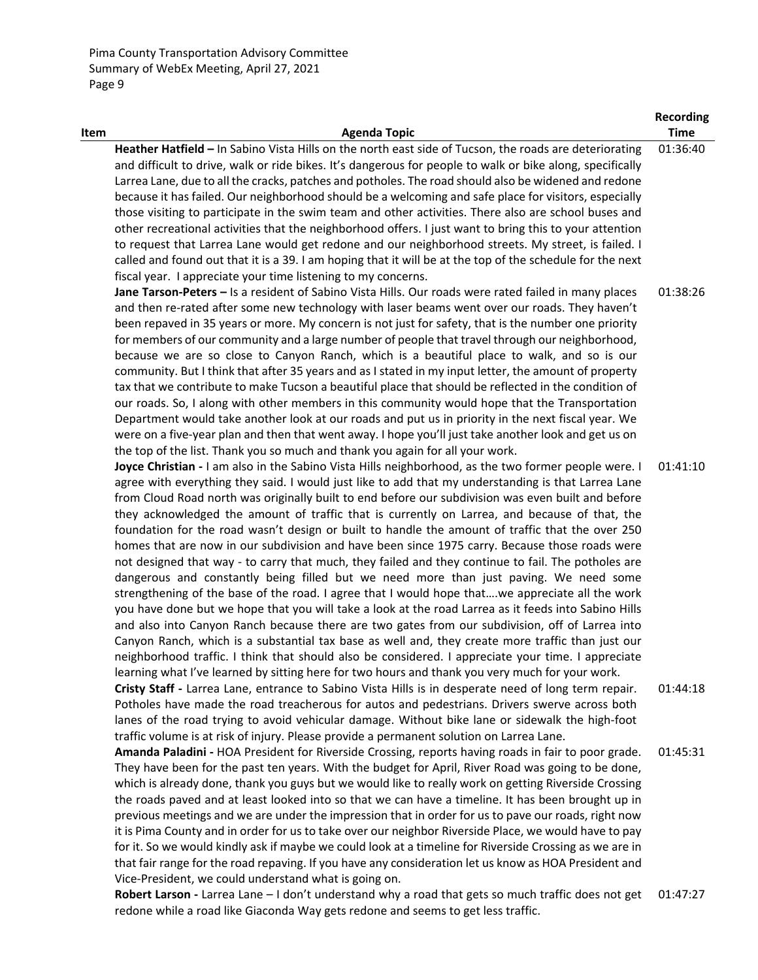Pima County Transportation Advisory Committee Summary of WebEx Meeting, April 27, 2021 Page 9

|      |                                                                                                                                                                                                                                                                                                                                                                                                                                                                                                                                                                                                                                                                                                                                                                                                                                                                                                                                                                                                                                                                                                                                                                                                                                                                                                                                                                                                                                                                                                                                                              | <b>Recording</b>     |
|------|--------------------------------------------------------------------------------------------------------------------------------------------------------------------------------------------------------------------------------------------------------------------------------------------------------------------------------------------------------------------------------------------------------------------------------------------------------------------------------------------------------------------------------------------------------------------------------------------------------------------------------------------------------------------------------------------------------------------------------------------------------------------------------------------------------------------------------------------------------------------------------------------------------------------------------------------------------------------------------------------------------------------------------------------------------------------------------------------------------------------------------------------------------------------------------------------------------------------------------------------------------------------------------------------------------------------------------------------------------------------------------------------------------------------------------------------------------------------------------------------------------------------------------------------------------------|----------------------|
| Item | <b>Agenda Topic</b>                                                                                                                                                                                                                                                                                                                                                                                                                                                                                                                                                                                                                                                                                                                                                                                                                                                                                                                                                                                                                                                                                                                                                                                                                                                                                                                                                                                                                                                                                                                                          | <b>Time</b>          |
|      | Heather Hatfield - In Sabino Vista Hills on the north east side of Tucson, the roads are deteriorating<br>and difficult to drive, walk or ride bikes. It's dangerous for people to walk or bike along, specifically<br>Larrea Lane, due to all the cracks, patches and potholes. The road should also be widened and redone<br>because it has failed. Our neighborhood should be a welcoming and safe place for visitors, especially<br>those visiting to participate in the swim team and other activities. There also are school buses and<br>other recreational activities that the neighborhood offers. I just want to bring this to your attention<br>to request that Larrea Lane would get redone and our neighborhood streets. My street, is failed. I<br>called and found out that it is a 39. I am hoping that it will be at the top of the schedule for the next<br>fiscal year. I appreciate your time listening to my concerns.                                                                                                                                                                                                                                                                                                                                                                                                                                                                                                                                                                                                                  | 01:36:40             |
|      | Jane Tarson-Peters - Is a resident of Sabino Vista Hills. Our roads were rated failed in many places<br>and then re-rated after some new technology with laser beams went over our roads. They haven't<br>been repaved in 35 years or more. My concern is not just for safety, that is the number one priority<br>for members of our community and a large number of people that travel through our neighborhood,<br>because we are so close to Canyon Ranch, which is a beautiful place to walk, and so is our<br>community. But I think that after 35 years and as I stated in my input letter, the amount of property<br>tax that we contribute to make Tucson a beautiful place that should be reflected in the condition of<br>our roads. So, I along with other members in this community would hope that the Transportation<br>Department would take another look at our roads and put us in priority in the next fiscal year. We<br>were on a five-year plan and then that went away. I hope you'll just take another look and get us on<br>the top of the list. Thank you so much and thank you again for all your work.                                                                                                                                                                                                                                                                                                                                                                                                                            | 01:38:26             |
|      | Joyce Christian - I am also in the Sabino Vista Hills neighborhood, as the two former people were. I<br>agree with everything they said. I would just like to add that my understanding is that Larrea Lane<br>from Cloud Road north was originally built to end before our subdivision was even built and before<br>they acknowledged the amount of traffic that is currently on Larrea, and because of that, the<br>foundation for the road wasn't design or built to handle the amount of traffic that the over 250<br>homes that are now in our subdivision and have been since 1975 carry. Because those roads were<br>not designed that way - to carry that much, they failed and they continue to fail. The potholes are<br>dangerous and constantly being filled but we need more than just paving. We need some<br>strengthening of the base of the road. I agree that I would hope thatwe appreciate all the work<br>you have done but we hope that you will take a look at the road Larrea as it feeds into Sabino Hills<br>and also into Canyon Ranch because there are two gates from our subdivision, off of Larrea into<br>Canyon Ranch, which is a substantial tax base as well and, they create more traffic than just our<br>neighborhood traffic. I think that should also be considered. I appreciate your time. I appreciate<br>learning what I've learned by sitting here for two hours and thank you very much for your work.<br>Cristy Staff - Larrea Lane, entrance to Sabino Vista Hills is in desperate need of long term repair. | 01:41:10<br>01:44:18 |
|      | Potholes have made the road treacherous for autos and pedestrians. Drivers swerve across both<br>lanes of the road trying to avoid vehicular damage. Without bike lane or sidewalk the high-foot<br>traffic volume is at risk of injury. Please provide a permanent solution on Larrea Lane.                                                                                                                                                                                                                                                                                                                                                                                                                                                                                                                                                                                                                                                                                                                                                                                                                                                                                                                                                                                                                                                                                                                                                                                                                                                                 |                      |
|      | Amanda Paladini - HOA President for Riverside Crossing, reports having roads in fair to poor grade.<br>They have been for the past ten years. With the budget for April, River Road was going to be done,<br>which is already done, thank you guys but we would like to really work on getting Riverside Crossing<br>the roads paved and at least looked into so that we can have a timeline. It has been brought up in<br>previous meetings and we are under the impression that in order for us to pave our roads, right now<br>it is Pima County and in order for us to take over our neighbor Riverside Place, we would have to pay<br>for it. So we would kindly ask if maybe we could look at a timeline for Riverside Crossing as we are in<br>that fair range for the road repaving. If you have any consideration let us know as HOA President and<br>Vice-President, we could understand what is going on.                                                                                                                                                                                                                                                                                                                                                                                                                                                                                                                                                                                                                                         | 01:45:31             |
|      | Robert Larson - Larrea Lane - I don't understand why a road that gets so much traffic does not get                                                                                                                                                                                                                                                                                                                                                                                                                                                                                                                                                                                                                                                                                                                                                                                                                                                                                                                                                                                                                                                                                                                                                                                                                                                                                                                                                                                                                                                           | 01:47:27             |

redone while a road like Giaconda Way gets redone and seems to get less traffic.